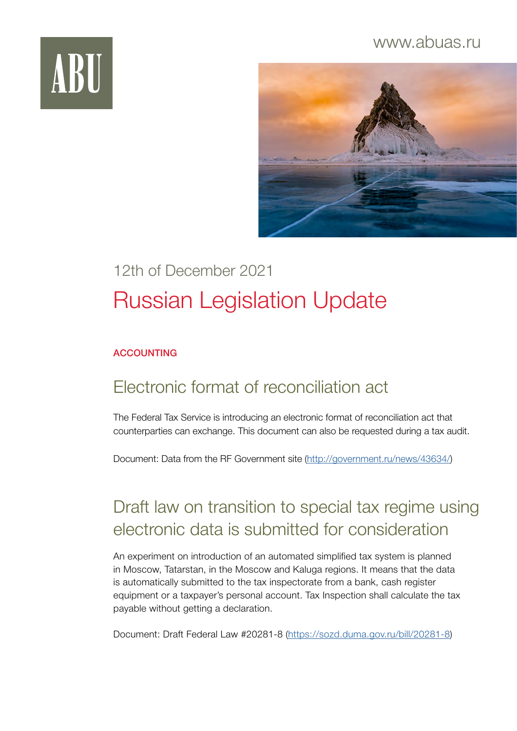### www.abuas.ru





# 12th of December 2021 Russian Legislation Update

#### ACCOUNTING

### Electronic format of reconciliation act

The Federal Tax Service is introducing an electronic format of reconciliation act that counterparties can exchange. This document can also be requested during a tax audit.

Document: Data from the RF Government site ([http://government.ru/news/43634/\)](http://government.ru/news/43634/)

## Draft law on transition to special tax regime using electronic data is submitted for consideration

An experiment on introduction of an automated simplified tax system is planned in Moscow, Tatarstan, in the Moscow and Kaluga regions. It means that the data is automatically submitted to the tax inspectorate from a bank, cash register equipment or a taxpayer's personal account. Tax Inspection shall calculate the tax payable without getting a declaration.

Document: Draft Federal Law #20281-8 (<https://sozd.duma.gov.ru/bill/20281-8>)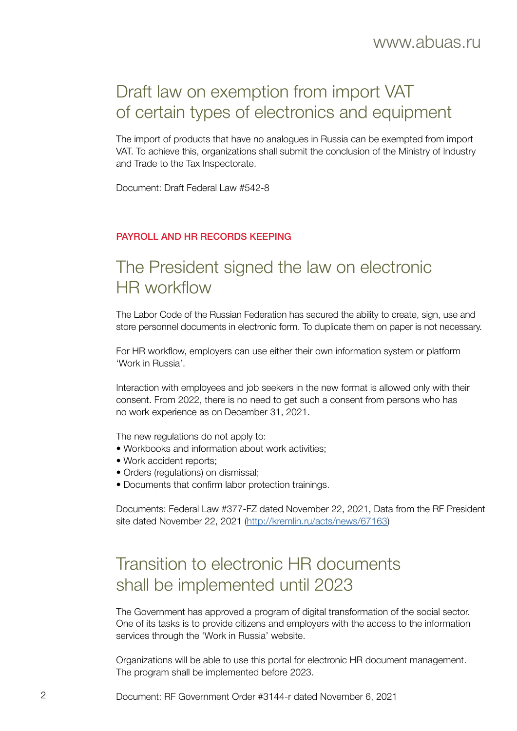## Draft law on exemption from import VAT of certain types of electronics and equipment

The import of products that have no analogues in Russia can be exempted from import VAT. To achieve this, organizations shall submit the conclusion of the Ministry of Industry and Trade to the Tax Inspectorate.

Document: Draft Federal Law #542-8

#### PAYROLL AND HR RECORDS KEEPING

## The President signed the law on electronic HR workflow

The Labor Code of the Russian Federation has secured the ability to create, sign, use and store personnel documents in electronic form. To duplicate them on paper is not necessary.

For HR workflow, employers can use either their own information system or platform 'Work in Russia'.

Interaction with employees and job seekers in the new format is allowed only with their consent. From 2022, there is no need to get such a consent from persons who has no work experience as on December 31, 2021.

The new regulations do not apply to:

- Workbooks and information about work activities;
- Work accident reports;
- Orders (regulations) on dismissal:
- Documents that confirm labor protection trainings.

Documents: Federal Law #377-FZ dated November 22, 2021, Data from the RF President site dated November 22, 2021 [\(http://kremlin.ru/acts/news/67163](http://kremlin.ru/acts/news/67163))

## Transition to electronic HR documents shall be implemented until 2023

The Government has approved a program of digital transformation of the social sector. One of its tasks is to provide citizens and employers with the access to the information services through the 'Work in Russia' website.

Organizations will be able to use this portal for electronic HR document management. The program shall be implemented before 2023.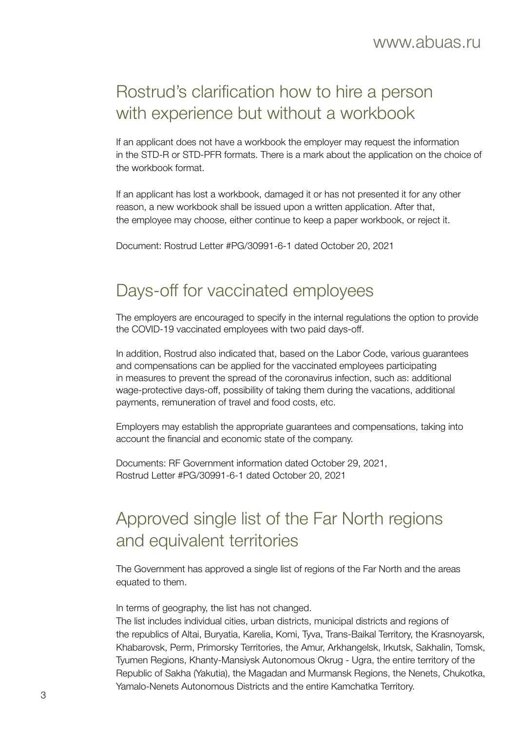## Rostrud's clarification how to hire a person with experience but without a workbook

If an applicant does not have a workbook the employer may request the information in the STD-R or STD-PFR formats. There is a mark about the application on the choice of the workbook format.

If an applicant has lost a workbook, damaged it or has not presented it for any other reason, a new workbook shall be issued upon a written application. After that, the employee may choose, either continue to keep a paper workbook, or reject it.

Document: Rostrud Letter #PG/30991-6-1 dated October 20, 2021

### Days-off for vaccinated employees

The employers are encouraged to specify in the internal regulations the option to provide the COVID-19 vaccinated employees with two paid days-off.

In addition, Rostrud also indicated that, based on the Labor Code, various guarantees and compensations can be applied for the vaccinated employees participating in measures to prevent the spread of the coronavirus infection, such as: additional wage-protective days-off, possibility of taking them during the vacations, additional payments, remuneration of travel and food costs, etc.

Employers may establish the appropriate guarantees and compensations, taking into account the financial and economic state of the company.

Documents: RF Government information dated October 29, 2021, Rostrud Letter #PG/30991-6-1 dated October 20, 2021

## Approved single list of the Far North regions and equivalent territories

The Government has approved a single list of regions of the Far North and the areas equated to them.

In terms of geography, the list has not changed.

The list includes individual cities, urban districts, municipal districts and regions of the republics of Altai, Buryatia, Karelia, Komi, Tyva, Trans-Baikal Territory, the Krasnoyarsk, Khabarovsk, Perm, Primorsky Territories, the Amur, Arkhangelsk, Irkutsk, Sakhalin, Tomsk, Tyumen Regions, Khanty-Mansiysk Autonomous Okrug - Ugra, the entire territory of the Republic of Sakha (Yakutia), the Magadan and Murmansk Regions, the Nenets, Chukotka, Yamalo-Nenets Autonomous Districts and the entire Kamchatka Territory.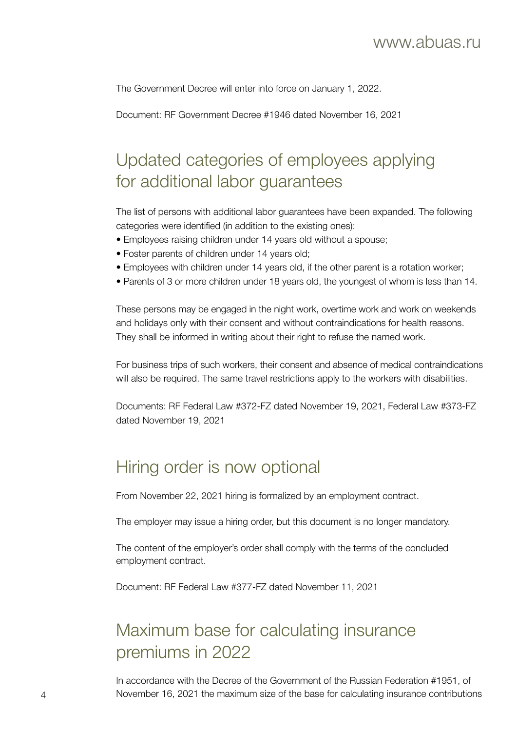The Government Decree will enter into force on January 1, 2022.

Document: RF Government Decree #1946 dated November 16, 2021

## Updated categories of employees applying for additional labor guarantees

The list of persons with additional labor guarantees have been expanded. The following categories were identified (in addition to the existing ones):

- Employees raising children under 14 years old without a spouse;
- Foster parents of children under 14 years old;
- Employees with children under 14 years old, if the other parent is a rotation worker;
- Parents of 3 or more children under 18 years old, the youngest of whom is less than 14.

These persons may be engaged in the night work, overtime work and work on weekends and holidays only with their consent and without contraindications for health reasons. They shall be informed in writing about their right to refuse the named work.

For business trips of such workers, their consent and absence of medical contraindications will also be required. The same travel restrictions apply to the workers with disabilities.

Documents: RF Federal Law #372-FZ dated November 19, 2021, Federal Law #373-FZ dated November 19, 2021

### Hiring order is now optional

From November 22, 2021 hiring is formalized by an employment contract.

The employer may issue a hiring order, but this document is no longer mandatory.

The content of the employer's order shall comply with the terms of the concluded employment contract.

Document: RF Federal Law #377-FZ dated November 11, 2021

## Maximum base for calculating insurance premiums in 2022

In accordance with the Decree of the Government of the Russian Federation #1951, of 4 November 16, 2021 the maximum size of the base for calculating insurance contributions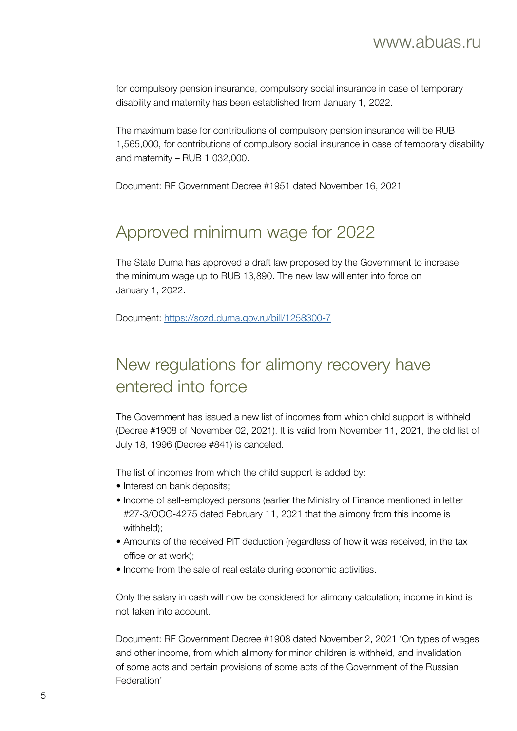for compulsory pension insurance, compulsory social insurance in case of temporary disability and maternity has been established from January 1, 2022.

The maximum base for contributions of compulsory pension insurance will be RUB 1,565,000, for contributions of compulsory social insurance in case of temporary disability and maternity – RUB 1,032,000.

Document: RF Government Decree #1951 dated November 16, 2021

## Approved minimum wage for 2022

The State Duma has approved a draft law proposed by the Government to increase the minimum wage up to RUB 13,890. The new law will enter into force on January 1, 2022.

Document:<https://sozd.duma.gov.ru/bill/1258300-7>

## New regulations for alimony recovery have entered into force

The Government has issued a new list of incomes from which child support is withheld (Decree #1908 of November 02, 2021). It is valid from November 11, 2021, the old list of July 18, 1996 (Decree #841) is canceled.

The list of incomes from which the child support is added by:

- Interest on bank deposits;
- Income of self-employed persons (earlier the Ministry of Finance mentioned in letter #27-3/OOG-4275 dated February 11, 2021 that the alimony from this income is withheld):
- Amounts of the received PIT deduction (regardless of how it was received, in the tax office or at work);
- Income from the sale of real estate during economic activities.

Only the salary in cash will now be considered for alimony calculation; income in kind is not taken into account.

Document: RF Government Decree #1908 dated November 2, 2021 'On types of wages and other income, from which alimony for minor children is withheld, and invalidation of some acts and certain provisions of some acts of the Government of the Russian Federation'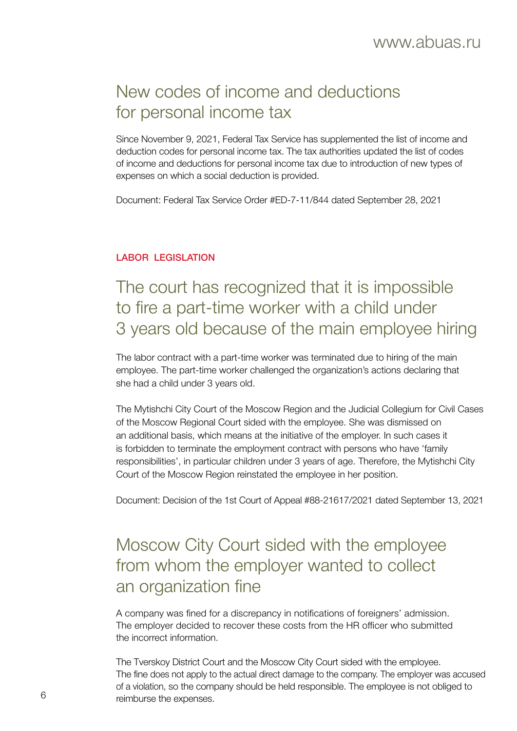## New codes of income and deductions for personal income tax

Since November 9, 2021, Federal Tax Service has supplemented the list of income and deduction codes for personal income tax. The tax authorities updated the list of codes of income and deductions for personal income tax due to introduction of new types of expenses on which a social deduction is provided.

Document: Federal Tax Service Order #ED-7-11/844 dated September 28, 2021

#### LABOR LEGISLATION

## The court has recognized that it is impossible to fire a part-time worker with a child under 3 years old because of the main employee hiring

The labor contract with a part-time worker was terminated due to hiring of the main employee. The part-time worker challenged the organization's actions declaring that she had a child under 3 years old.

The Mytishchi City Court of the Moscow Region and the Judicial Collegium for Civil Cases of the Moscow Regional Court sided with the employee. She was dismissed on an additional basis, which means at the initiative of the employer. In such cases it is forbidden to terminate the employment contract with persons who have 'family responsibilities', in particular children under 3 years of age. Therefore, the Mytishchi City Court of the Moscow Region reinstated the employee in her position.

Document: Decision of the 1st Court of Appeal #88-21617/2021 dated September 13, 2021

## Moscow City Court sided with the employee from whom the employer wanted to collect an organization fine

A company was fined for a discrepancy in notifications of foreigners' admission. The employer decided to recover these costs from the HR officer who submitted the incorrect information.

The Tverskoy District Court and the Moscow City Court sided with the employee. The fine does not apply to the actual direct damage to the company. The employer was accused of a violation, so the company should be held responsible. The employee is not obliged to reimburse the expenses. 6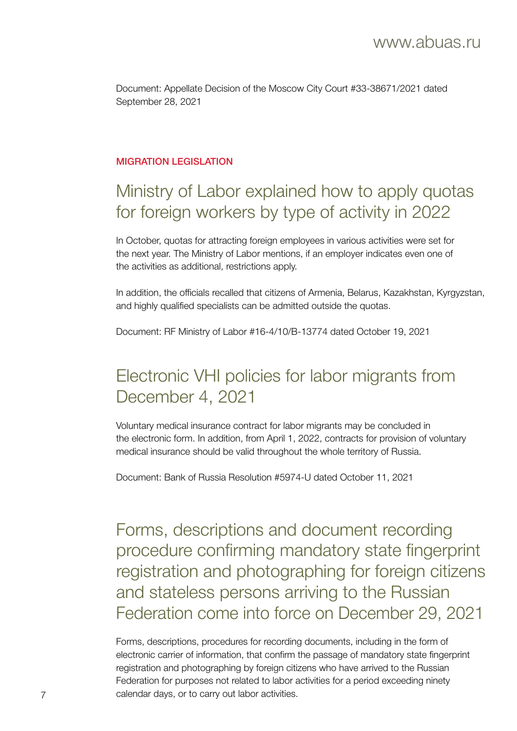Document: Appellate Decision of the Moscow City Court #33-38671/2021 dated September 28, 2021

#### MIGRATION I FGISLATION

## Ministry of Labor explained how to apply quotas for foreign workers by type of activity in 2022

In October, quotas for attracting foreign employees in various activities were set for the next year. The Ministry of Labor mentions, if an employer indicates even one of the activities as additional, restrictions apply.

In addition, the officials recalled that citizens of Armenia, Belarus, Kazakhstan, Kyrgyzstan, and highly qualified specialists can be admitted outside the quotas.

Document: RF Ministry of Labor #16-4/10/В-13774 dated October 19, 2021

## Electronic VHI policies for labor migrants from December 4, 2021

Voluntary medical insurance contract for labor migrants may be concluded in the electronic form. In addition, from April 1, 2022, contracts for provision of voluntary medical insurance should be valid throughout the whole territory of Russia.

Document: Bank of Russia Resolution #5974-U dated October 11, 2021

Forms, descriptions and document recording procedure confirming mandatory state fingerprint registration and photographing for foreign citizens and stateless persons arriving to the Russian Federation come into force on December 29, 2021

Forms, descriptions, procedures for recording documents, including in the form of electronic carrier of information, that confirm the passage of mandatory state fingerprint registration and photographing by foreign citizens who have arrived to the Russian Federation for purposes not related to labor activities for a period exceeding ninety 7 calendar days, or to carry out labor activities.